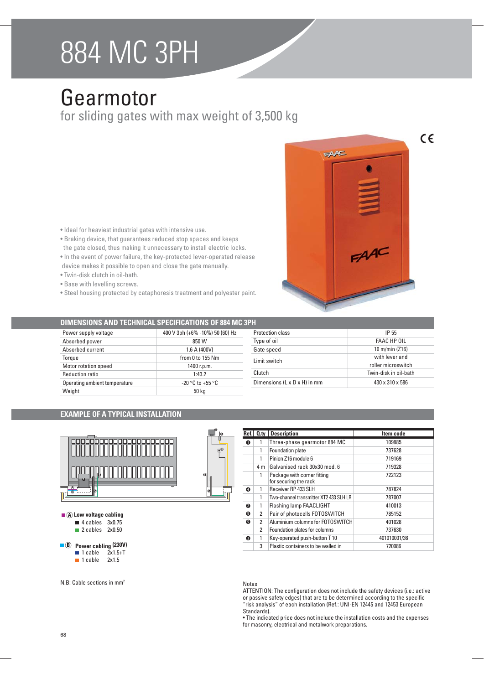# 884 MC 3PH

## Gearmotor

for sliding gates with max weight of 3,500 kg

- Ideal for heaviest industrial gates with intensive use.
- Braking device, that guarantees reduced stop spaces and keeps the gate closed, thus making it unnecessary to install electric locks.
- $\bullet$  In the event of power failure, the key-protected lever-operated release device makes it possible to open and close the gate manually.
- · Twin-disk clutch in oil-bath.
- Base with levelling screws.
- Steel housing protected by cataphoresis treatment and polyester paint.



## **DIMENSIONS AND TECHNICAL SPECIFICATIONS OF 884 MC 3PH**

| Power supply voltage          | 400 V 3ph (+6% -10%) 50 (60) Hz |  |
|-------------------------------|---------------------------------|--|
| Absorbed power                | 850 W                           |  |
| Absorbed current              | 1.6 A (400V)                    |  |
| Torque                        | from $0$ to 155 Nm              |  |
| Motor rotation speed          | 1400 r.p.m.                     |  |
| <b>Reduction ratio</b>        | 1:43.2                          |  |
| Operating ambient temperature | $-20$ °C to $+55$ °C            |  |
| Weight                        | 50 kg                           |  |

| Protection class                         | IP 55                 |  |
|------------------------------------------|-----------------------|--|
| Type of oil                              | FAAC HP OIL           |  |
| Gate speed                               | 10 m/min (Z16)        |  |
| Limit switch                             | with lever and        |  |
|                                          | roller microswitch    |  |
| Clutch                                   | Twin-disk in oil-bath |  |
| Dimensions $(L \times D \times H)$ in mm | 430 x 310 x 586       |  |

## **EXAMPLE OF A TYPICAL INSTALLATION**



- $\blacksquare$  **A** Low voltage cabling
	- $\blacksquare$  4 cables 3x0.75

```
\blacksquare 2 cables 2x0.50
```
## **8** Power cabling (230V)

- $\blacksquare$  1 cable
- $\blacksquare$  1 cable 2x1.5



| Ref. | 0.1y                         | <b>Description</b>                                   | Item code    |  |
|------|------------------------------|------------------------------------------------------|--------------|--|
| O    | Three-phase gearmotor 884 MC |                                                      | 109885       |  |
|      | 1                            | Foundation plate                                     | 737628       |  |
|      | 1                            | Pinion Z16 module 6                                  | 719169       |  |
|      | 4 m                          | Galvanised rack 30x30 mod. 6                         | 719328       |  |
|      | 1                            | Package with corner fitting<br>for securing the rack | 722123       |  |
| ❹    | 1                            | Receiver RP 433 SLH                                  | 787824       |  |
|      |                              | Two-channel transmitter XT2 433 SLH LR               | 787007       |  |
| ❷    | 1                            | <b>Flashing lamp FAACLIGHT</b>                       | 410013       |  |
| ❺    | $\overline{2}$               | Pair of photocells FOTOSWITCH                        | 785152       |  |
| Ø    | 2                            | Aluminium columns for FOTOSWITCH                     | 401028       |  |
|      | 2                            | Foundation plates for columns                        | 737630       |  |
| €    | 1                            | Key-operated push-button T 10                        | 401010001/36 |  |
|      | 3                            | Plastic containers to be walled in                   | 720086       |  |

#### Notes

ATTENTION: The configuration does not include the safety devices (i.e.: active or passive safety edges) that are to be determined according to the specific "risk analysis" of each installation (Ref.: UNI-EN 12445 and 12453 European Standards).

• The indicated price does not include the installation costs and the expenses for masonry, electrical and metalwork preparations.